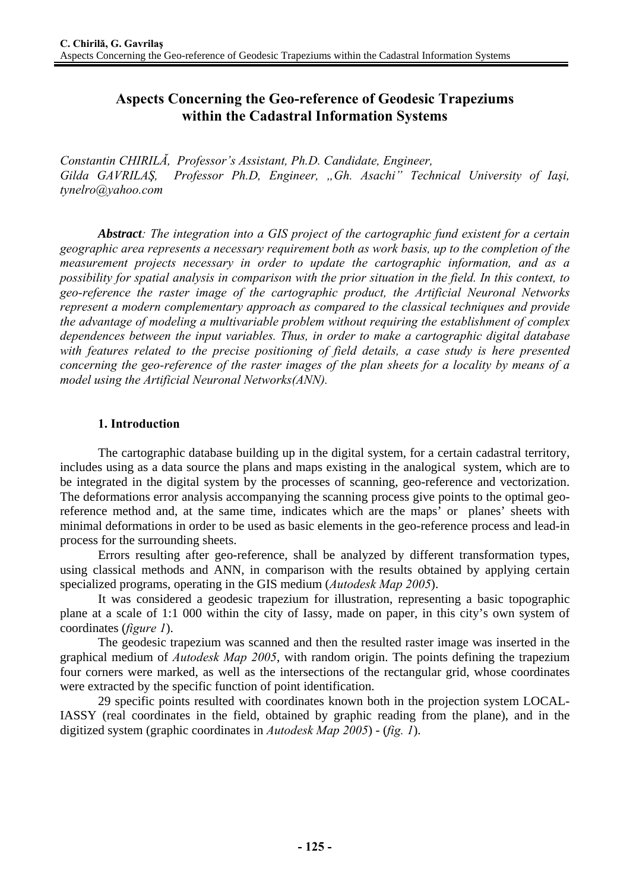# **Aspects Concerning the Geo-reference of Geodesic Trapeziums within the Cadastral Information Systems**

*Constantin CHIRILĂ, Professor's Assistant, Ph.D. Candidate, Engineer, Gilda GAVRILAŞ, Professor Ph.D, Engineer, "Gh. Asachi" Technical University of Iaşi, tynelro@yahoo.com* 

*Abstract: The integration into a GIS project of the cartographic fund existent for a certain geographic area represents a necessary requirement both as work basis, up to the completion of the measurement projects necessary in order to update the cartographic information, and as a possibility for spatial analysis in comparison with the prior situation in the field. In this context, to geo-reference the raster image of the cartographic product, the Artificial Neuronal Networks represent a modern complementary approach as compared to the classical techniques and provide the advantage of modeling a multivariable problem without requiring the establishment of complex dependences between the input variables. Thus, in order to make a cartographic digital database with features related to the precise positioning of field details, a case study is here presented concerning the geo-reference of the raster images of the plan sheets for a locality by means of a model using the Artificial Neuronal Networks(ANN).* 

# **1. Introduction**

The cartographic database building up in the digital system, for a certain cadastral territory, includes using as a data source the plans and maps existing in the analogical system, which are to be integrated in the digital system by the processes of scanning, geo-reference and vectorization. The deformations error analysis accompanying the scanning process give points to the optimal georeference method and, at the same time, indicates which are the maps' or planes' sheets with minimal deformations in order to be used as basic elements in the geo-reference process and lead-in process for the surrounding sheets.

Errors resulting after geo-reference, shall be analyzed by different transformation types, using classical methods and ANN, in comparison with the results obtained by applying certain specialized programs, operating in the GIS medium (*Autodesk Map 2005*).

It was considered a geodesic trapezium for illustration, representing a basic topographic plane at a scale of 1:1 000 within the city of Iassy, made on paper, in this city's own system of coordinates (*figure 1*).

The geodesic trapezium was scanned and then the resulted raster image was inserted in the graphical medium of *Autodesk Map 2005*, with random origin. The points defining the trapezium four corners were marked, as well as the intersections of the rectangular grid, whose coordinates were extracted by the specific function of point identification.

29 specific points resulted with coordinates known both in the projection system LOCAL-IASSY (real coordinates in the field, obtained by graphic reading from the plane), and in the digitized system (graphic coordinates in *Autodesk Map 2005*) - (*fig. 1*).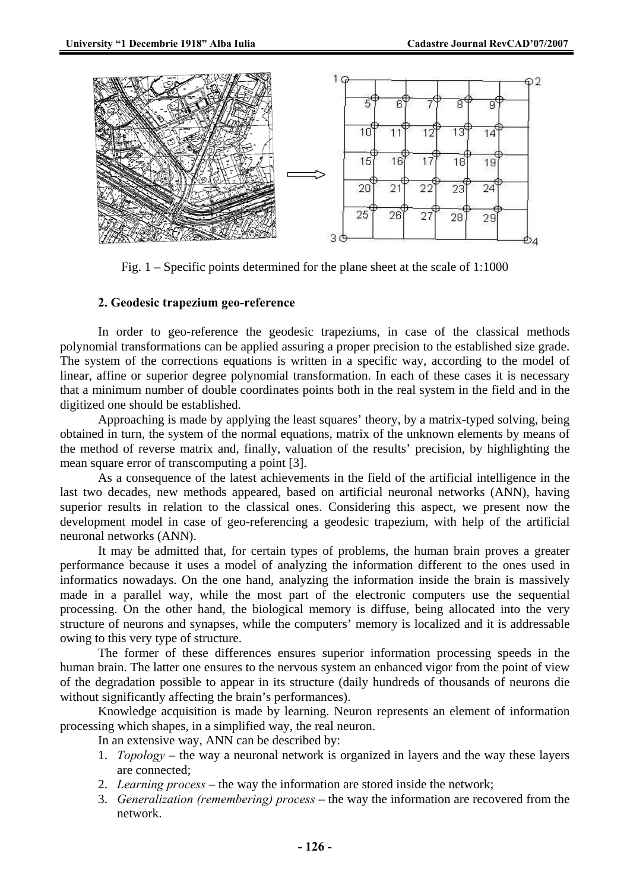

Fig. 1 – Specific points determined for the plane sheet at the scale of 1:1000

## **2. Geodesic trapezium geo-reference**

In order to geo-reference the geodesic trapeziums, in case of the classical methods polynomial transformations can be applied assuring a proper precision to the established size grade. The system of the corrections equations is written in a specific way, according to the model of linear, affine or superior degree polynomial transformation. In each of these cases it is necessary that a minimum number of double coordinates points both in the real system in the field and in the digitized one should be established.

Approaching is made by applying the least squares' theory, by a matrix-typed solving, being obtained in turn, the system of the normal equations, matrix of the unknown elements by means of the method of reverse matrix and, finally, valuation of the results' precision, by highlighting the mean square error of transcomputing a point [3].

As a consequence of the latest achievements in the field of the artificial intelligence in the last two decades, new methods appeared, based on artificial neuronal networks (ANN), having superior results in relation to the classical ones. Considering this aspect, we present now the development model in case of geo-referencing a geodesic trapezium, with help of the artificial neuronal networks (ANN).

It may be admitted that, for certain types of problems, the human brain proves a greater performance because it uses a model of analyzing the information different to the ones used in informatics nowadays. On the one hand, analyzing the information inside the brain is massively made in a parallel way, while the most part of the electronic computers use the sequential processing. On the other hand, the biological memory is diffuse, being allocated into the very structure of neurons and synapses, while the computers' memory is localized and it is addressable owing to this very type of structure.

The former of these differences ensures superior information processing speeds in the human brain. The latter one ensures to the nervous system an enhanced vigor from the point of view of the degradation possible to appear in its structure (daily hundreds of thousands of neurons die without significantly affecting the brain's performances).

Knowledge acquisition is made by learning. Neuron represents an element of information processing which shapes, in a simplified way, the real neuron.

In an extensive way, ANN can be described by:

- 1. *Topology* the way a neuronal network is organized in layers and the way these layers are connected;
- 2. *Learning process* the way the information are stored inside the network;
- 3. *Generalization (remembering) process* the way the information are recovered from the network.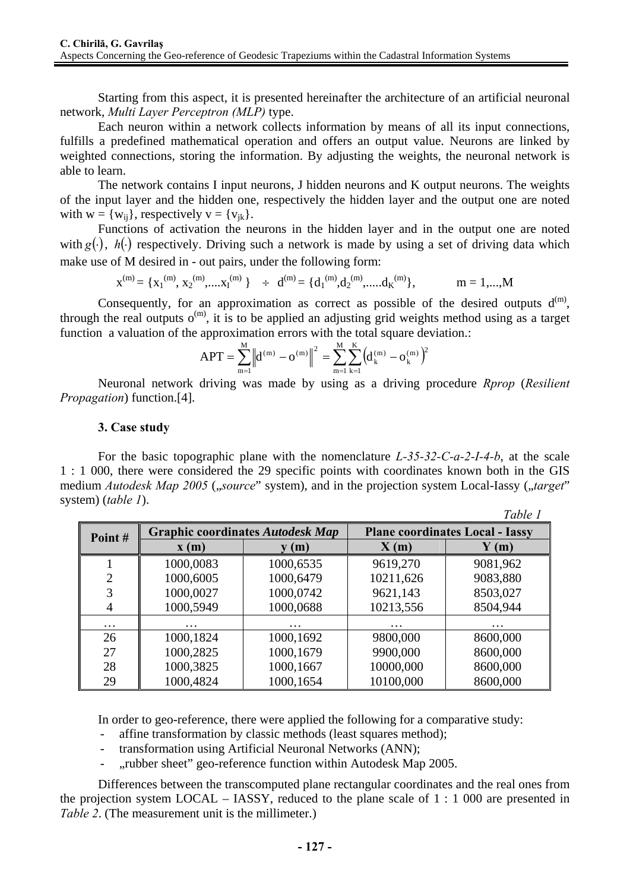Starting from this aspect, it is presented hereinafter the architecture of an artificial neuronal network, *Multi Layer Perceptron (MLP)* type.

Each neuron within a network collects information by means of all its input connections, fulfills a predefined mathematical operation and offers an output value. Neurons are linked by weighted connections, storing the information. By adjusting the weights, the neuronal network is able to learn.

The network contains I input neurons, J hidden neurons and K output neurons. The weights of the input layer and the hidden one, respectively the hidden layer and the output one are noted with  $w = \{w_{ii}\}\)$ , respectively  $v = \{v_{ik}\}\$ .

Functions of activation the neurons in the hidden layer and in the output one are noted with  $g(.)$ ,  $h(.)$  respectively. Driving such a network is made by using a set of driving data which make use of M desired in - out pairs, under the following form:

> $x^{(m)} = {x_1^{(m)}, x_2^{(m)},...,x_1^{(m)}}$   $\div$   $d^{(m)} = {d_1^{(m)}, d_2^{(m)},...,d_K}$  $m = 1,..., M$

Consequently, for an approximation as correct as possible of the desired outputs  $d^{(m)}$ , through the real outputs  $o^{(m)}$ , it is to be applied an adjusting grid weights method using as a target function a valuation of the approximation errors with the total square deviation.:

$$
APT = \sum_{m=l}^{M} \left\| d^{(m)} - o^{(m)} \right\|^2 = \sum_{m=l}^{M} \sum_{k=l}^{K} \left( d_k^{(m)} - o_k^{(m)} \right)^2
$$

Neuronal network driving was made by using as a driving procedure *Rprop* (*Resilient Propagation*) function.[4].

#### **3. Case study**

For the basic topographic plane with the nomenclature *L-35-32-C-a-2-I-4-b*, at the scale 1 : 1 000, there were considered the 29 specific points with coordinates known both in the GIS medium *Autodesk Map 2005* ("*source*" system), and in the projection system Local-Iassy ("*target*" system) (*table 1*).

|                |                                         |           |                                        | Table 1  |  |
|----------------|-----------------------------------------|-----------|----------------------------------------|----------|--|
| Point#         | <b>Graphic coordinates Autodesk Map</b> |           | <b>Plane coordinates Local - Iassy</b> |          |  |
|                | $\mathbf{x}(\mathbf{m})$                | (m)       | X(m)                                   | (m)      |  |
|                | 1000,0083                               | 1000,6535 | 9619,270                               | 9081,962 |  |
| $\overline{2}$ | 1000,6005                               | 1000,6479 | 10211,626                              | 9083,880 |  |
| 3              | 1000,0027                               | 1000,0742 | 9621,143                               | 8503,027 |  |
| $\overline{4}$ | 1000,5949                               | 1000,0688 | 10213,556                              | 8504,944 |  |
| $\ddotsc$      | $\cdots$                                | $\cdots$  | $\cdots$                               | $\cdots$ |  |
| 26             | 1000,1824                               | 1000,1692 | 9800,000                               | 8600,000 |  |
| 27             | 1000,2825                               | 1000,1679 | 9900,000                               | 8600,000 |  |
| 28             | 1000,3825                               | 1000,1667 | 10000,000                              | 8600,000 |  |
| 29             | 1000,4824                               | 1000,1654 | 10100,000                              | 8600,000 |  |

In order to geo-reference, there were applied the following for a comparative study:

- affine transformation by classic methods (least squares method);
- transformation using Artificial Neuronal Networks (ANN);
- ..rubber sheet" geo-reference function within Autodesk Map 2005.

Differences between the transcomputed plane rectangular coordinates and the real ones from the projection system LOCAL – IASSY, reduced to the plane scale of 1 : 1 000 are presented in *Table 2.* (The measurement unit is the millimeter.)